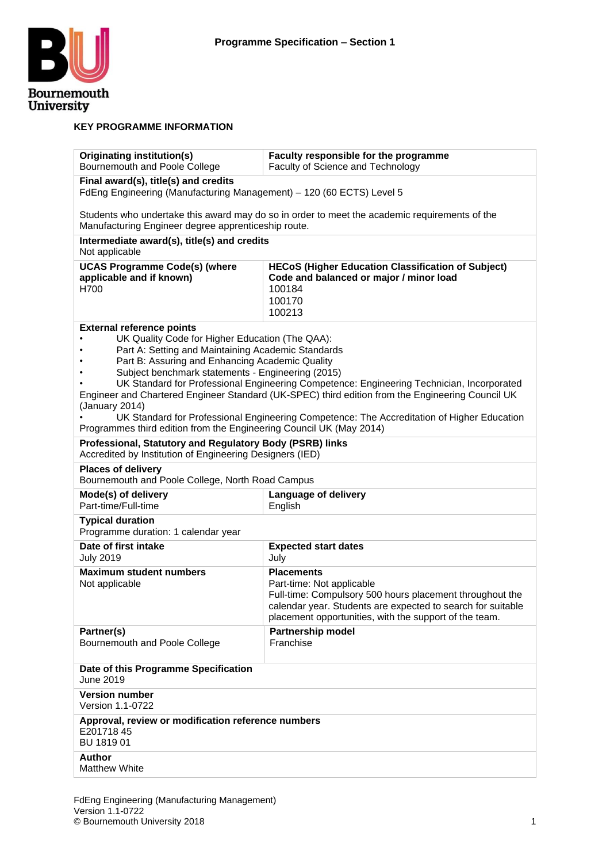

#### **KEY PROGRAMME INFORMATION**

| Originating institution(s)<br>Bournemouth and Poole College                                                                                          | Faculty responsible for the programme<br>Faculty of Science and Technology                       |  |  |  |  |  |  |  |  |  |  |
|------------------------------------------------------------------------------------------------------------------------------------------------------|--------------------------------------------------------------------------------------------------|--|--|--|--|--|--|--|--|--|--|
| Final award(s), title(s) and credits<br>FdEng Engineering (Manufacturing Management) - 120 (60 ECTS) Level 5                                         |                                                                                                  |  |  |  |  |  |  |  |  |  |  |
| Students who undertake this award may do so in order to meet the academic requirements of the<br>Manufacturing Engineer degree apprenticeship route. |                                                                                                  |  |  |  |  |  |  |  |  |  |  |
| Intermediate award(s), title(s) and credits<br>Not applicable                                                                                        |                                                                                                  |  |  |  |  |  |  |  |  |  |  |
| <b>UCAS Programme Code(s) (where</b>                                                                                                                 | <b>HECoS (Higher Education Classification of Subject)</b>                                        |  |  |  |  |  |  |  |  |  |  |
| applicable and if known)<br>H700                                                                                                                     | Code and balanced or major / minor load<br>100184<br>100170<br>100213                            |  |  |  |  |  |  |  |  |  |  |
| <b>External reference points</b>                                                                                                                     |                                                                                                  |  |  |  |  |  |  |  |  |  |  |
| UK Quality Code for Higher Education (The QAA):                                                                                                      |                                                                                                  |  |  |  |  |  |  |  |  |  |  |
| Part A: Setting and Maintaining Academic Standards<br>Part B: Assuring and Enhancing Academic Quality                                                |                                                                                                  |  |  |  |  |  |  |  |  |  |  |
| Subject benchmark statements - Engineering (2015)                                                                                                    |                                                                                                  |  |  |  |  |  |  |  |  |  |  |
|                                                                                                                                                      | UK Standard for Professional Engineering Competence: Engineering Technician, Incorporated        |  |  |  |  |  |  |  |  |  |  |
|                                                                                                                                                      | Engineer and Chartered Engineer Standard (UK-SPEC) third edition from the Engineering Council UK |  |  |  |  |  |  |  |  |  |  |
| (January 2014)<br>Programmes third edition from the Engineering Council UK (May 2014)                                                                | UK Standard for Professional Engineering Competence: The Accreditation of Higher Education       |  |  |  |  |  |  |  |  |  |  |
| Professional, Statutory and Regulatory Body (PSRB) links<br>Accredited by Institution of Engineering Designers (IED)                                 |                                                                                                  |  |  |  |  |  |  |  |  |  |  |
| <b>Places of delivery</b><br>Bournemouth and Poole College, North Road Campus                                                                        |                                                                                                  |  |  |  |  |  |  |  |  |  |  |
| Mode(s) of delivery<br>Part-time/Full-time                                                                                                           | Language of delivery<br>English                                                                  |  |  |  |  |  |  |  |  |  |  |
| <b>Typical duration</b><br>Programme duration: 1 calendar year                                                                                       |                                                                                                  |  |  |  |  |  |  |  |  |  |  |
| Date of first intake<br><b>July 2019</b>                                                                                                             | <b>Expected start dates</b><br>July                                                              |  |  |  |  |  |  |  |  |  |  |
| <b>Maximum student numbers</b>                                                                                                                       | <b>Placements</b>                                                                                |  |  |  |  |  |  |  |  |  |  |
| Not applicable                                                                                                                                       | Part-time: Not applicable<br>Full-time: Compulsory 500 hours placement throughout the            |  |  |  |  |  |  |  |  |  |  |
|                                                                                                                                                      | calendar year. Students are expected to search for suitable                                      |  |  |  |  |  |  |  |  |  |  |
|                                                                                                                                                      | placement opportunities, with the support of the team.                                           |  |  |  |  |  |  |  |  |  |  |
| Partner(s)                                                                                                                                           | Partnership model                                                                                |  |  |  |  |  |  |  |  |  |  |
| Bournemouth and Poole College                                                                                                                        | Franchise                                                                                        |  |  |  |  |  |  |  |  |  |  |
| Date of this Programme Specification<br>June 2019                                                                                                    |                                                                                                  |  |  |  |  |  |  |  |  |  |  |
| <b>Version number</b><br>Version 1.1-0722                                                                                                            |                                                                                                  |  |  |  |  |  |  |  |  |  |  |
| Approval, review or modification reference numbers<br>E20171845<br>BU 1819 01                                                                        |                                                                                                  |  |  |  |  |  |  |  |  |  |  |
| <b>Author</b><br><b>Matthew White</b>                                                                                                                |                                                                                                  |  |  |  |  |  |  |  |  |  |  |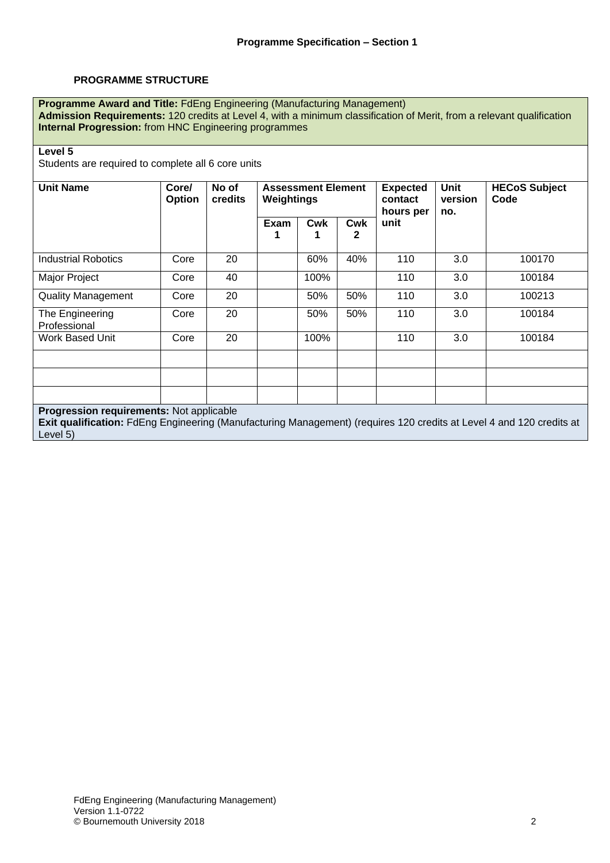#### **PROGRAMME STRUCTURE**

**Programme Award and Title:** FdEng Engineering (Manufacturing Management) **Admission Requirements:** 120 credits at Level 4, with a minimum classification of Merit, from a relevant qualification **Internal Progression:** from HNC Engineering programmes

#### **Level 5**

Students are required to complete all 6 core units

| <b>Unit Name</b>                                                                                                                                                 | Core/<br><b>Option</b> | No of<br>credits | Weightings  | <b>Assessment Element</b> |                 | <b>Expected</b><br>contact<br>hours per | Unit<br>version<br>no. | <b>HECoS Subject</b><br>Code |
|------------------------------------------------------------------------------------------------------------------------------------------------------------------|------------------------|------------------|-------------|---------------------------|-----------------|-----------------------------------------|------------------------|------------------------------|
|                                                                                                                                                                  |                        |                  | <b>Exam</b> | <b>Cwk</b>                | <b>Cwk</b><br>2 | unit                                    |                        |                              |
| Industrial Robotics                                                                                                                                              | Core                   | 20               |             | 60%                       | 40%             | 110                                     | 3.0                    | 100170                       |
| Major Project                                                                                                                                                    | Core                   | 40               |             | 100%                      |                 | 110                                     | 3.0                    | 100184                       |
| <b>Quality Management</b>                                                                                                                                        | Core                   | 20               |             | 50%                       | 50%             | 110                                     | 3.0                    | 100213                       |
| The Engineering<br>Professional                                                                                                                                  | Core                   | 20               |             | 50%                       | 50%             | 110                                     | 3.0                    | 100184                       |
| Work Based Unit                                                                                                                                                  | Core                   | 20               |             | 100%                      |                 | 110                                     | 3.0                    | 100184                       |
|                                                                                                                                                                  |                        |                  |             |                           |                 |                                         |                        |                              |
|                                                                                                                                                                  |                        |                  |             |                           |                 |                                         |                        |                              |
| Progression requirements: Not applicable<br>Exit qualification: FdEng Engineering (Manufacturing Management) (requires 120 credits at Level 4 and 120 credits at |                        |                  |             |                           |                 |                                         |                        |                              |

Level 5)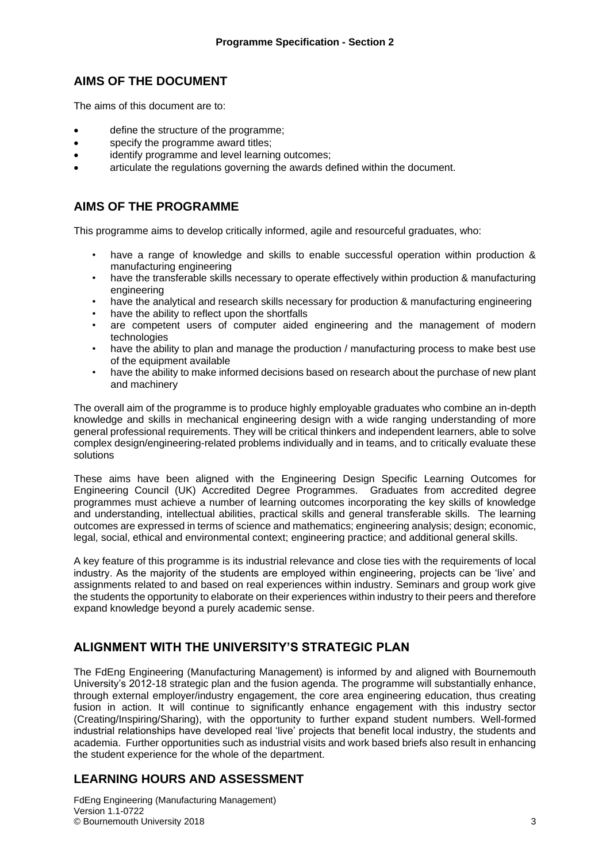## **AIMS OF THE DOCUMENT**

The aims of this document are to:

- define the structure of the programme;
- specify the programme award titles;
- identify programme and level learning outcomes:
- articulate the regulations governing the awards defined within the document.

## **AIMS OF THE PROGRAMME**

This programme aims to develop critically informed, agile and resourceful graduates, who:

- have a range of knowledge and skills to enable successful operation within production & manufacturing engineering
- have the transferable skills necessary to operate effectively within production & manufacturing engineering
- have the analytical and research skills necessary for production & manufacturing engineering
- have the ability to reflect upon the shortfalls
- are competent users of computer aided engineering and the management of modern technologies
- have the ability to plan and manage the production / manufacturing process to make best use of the equipment available
- have the ability to make informed decisions based on research about the purchase of new plant and machinery

The overall aim of the programme is to produce highly employable graduates who combine an in-depth knowledge and skills in mechanical engineering design with a wide ranging understanding of more general professional requirements. They will be critical thinkers and independent learners, able to solve complex design/engineering-related problems individually and in teams, and to critically evaluate these solutions

These aims have been aligned with the Engineering Design Specific Learning Outcomes for Engineering Council (UK) Accredited Degree Programmes.Graduates from accredited degree programmes must achieve a number of learning outcomes incorporating the key skills of knowledge and understanding, intellectual abilities, practical skills and general transferable skills. The learning outcomes are expressed in terms of science and mathematics; engineering analysis; design; economic, legal, social, ethical and environmental context; engineering practice; and additional general skills.

A key feature of this programme is its industrial relevance and close ties with the requirements of local industry. As the majority of the students are employed within engineering, projects can be 'live' and assignments related to and based on real experiences within industry. Seminars and group work give the students the opportunity to elaborate on their experiences within industry to their peers and therefore expand knowledge beyond a purely academic sense.

## **ALIGNMENT WITH THE UNIVERSITY'S STRATEGIC PLAN**

The FdEng Engineering (Manufacturing Management) is informed by and aligned with Bournemouth University's 2012-18 strategic plan and the fusion agenda. The programme will substantially enhance, through external employer/industry engagement, the core area engineering education, thus creating fusion in action. It will continue to significantly enhance engagement with this industry sector (Creating/Inspiring/Sharing), with the opportunity to further expand student numbers. Well-formed industrial relationships have developed real 'live' projects that benefit local industry, the students and academia. Further opportunities such as industrial visits and work based briefs also result in enhancing the student experience for the whole of the department.

## **LEARNING HOURS AND ASSESSMENT**

FdEng Engineering (Manufacturing Management) Version 1.1-0722 © Bournemouth University 2018 3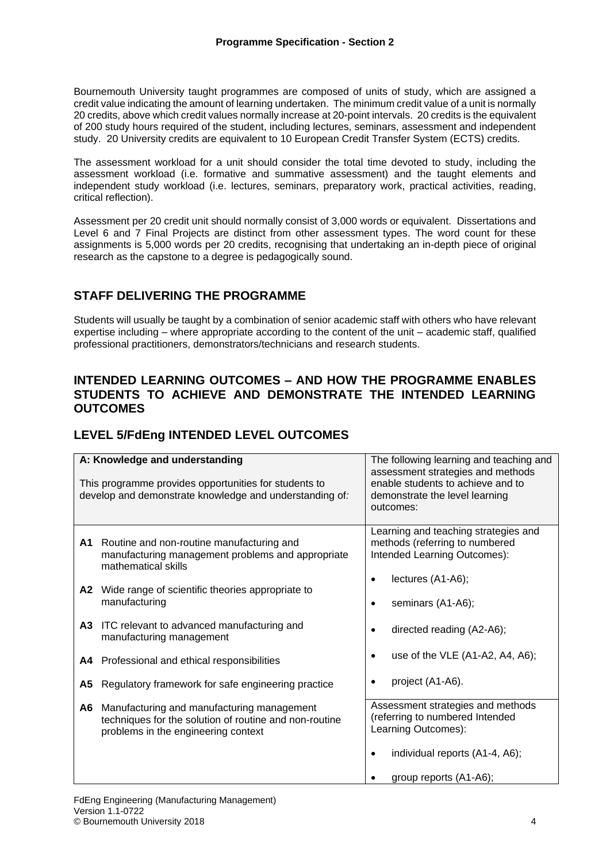Bournemouth University taught programmes are composed of units of study, which are assigned a credit value indicating the amount of learning undertaken. The minimum credit value of a unit is normally 20 credits, above which credit values normally increase at 20-point intervals. 20 credits is the equivalent of 200 study hours required of the student, including lectures, seminars, assessment and independent study. 20 University credits are equivalent to 10 European Credit Transfer System (ECTS) credits.

The assessment workload for a unit should consider the total time devoted to study, including the assessment workload (i.e. formative and summative assessment) and the taught elements and independent study workload (i.e. lectures, seminars, preparatory work, practical activities, reading, critical reflection).

Assessment per 20 credit unit should normally consist of 3,000 words or equivalent. Dissertations and Level 6 and 7 Final Projects are distinct from other assessment types. The word count for these assignments is 5,000 words per 20 credits, recognising that undertaking an in-depth piece of original research as the capstone to a degree is pedagogically sound.

## **STAFF DELIVERING THE PROGRAMME**

Students will usually be taught by a combination of senior academic staff with others who have relevant expertise including – where appropriate according to the content of the unit – academic staff, qualified professional practitioners, demonstrators/technicians and research students.

### **INTENDED LEARNING OUTCOMES – AND HOW THE PROGRAMME ENABLES STUDENTS TO ACHIEVE AND DEMONSTRATE THE INTENDED LEARNING OUTCOMES**

## **LEVEL 5/FdEng INTENDED LEVEL OUTCOMES**

|    | A: Knowledge and understanding<br>This programme provides opportunities for students to<br>develop and demonstrate knowledge and understanding of: | The following learning and teaching and<br>assessment strategies and methods<br>enable students to achieve and to<br>demonstrate the level learning<br>outcomes: |
|----|----------------------------------------------------------------------------------------------------------------------------------------------------|------------------------------------------------------------------------------------------------------------------------------------------------------------------|
| A1 | Routine and non-routine manufacturing and<br>manufacturing management problems and appropriate<br>mathematical skills                              | Learning and teaching strategies and<br>methods (referring to numbered<br>Intended Learning Outcomes):                                                           |
| A2 | Wide range of scientific theories appropriate to<br>manufacturing                                                                                  | lectures (A1-A6);<br>seminars (A1-A6);                                                                                                                           |
| А3 | ITC relevant to advanced manufacturing and<br>manufacturing management                                                                             | directed reading (A2-A6);<br>$\bullet$                                                                                                                           |
|    | A4 Professional and ethical responsibilities                                                                                                       | use of the VLE (A1-A2, A4, A6);                                                                                                                                  |
| А5 | Regulatory framework for safe engineering practice                                                                                                 | project (A1-A6).                                                                                                                                                 |
| A6 | Manufacturing and manufacturing management<br>techniques for the solution of routine and non-routine<br>problems in the engineering context        | Assessment strategies and methods<br>(referring to numbered Intended<br>Learning Outcomes):                                                                      |
|    |                                                                                                                                                    | individual reports (A1-4, A6);                                                                                                                                   |
|    |                                                                                                                                                    | group reports (A1-A6);                                                                                                                                           |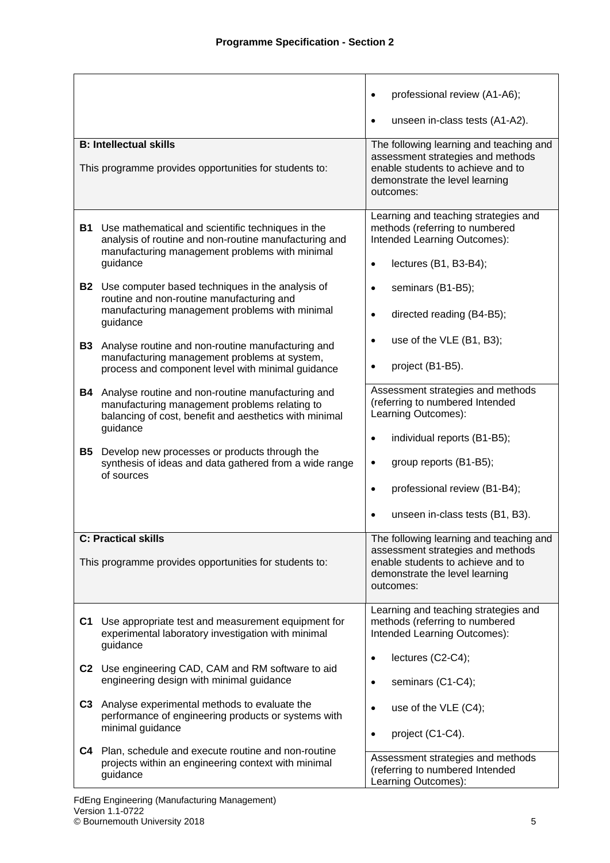|                                                                                                                                                                     |                                                                                                                                                                  | professional review (A1-A6);                                                                                                                                     |
|---------------------------------------------------------------------------------------------------------------------------------------------------------------------|------------------------------------------------------------------------------------------------------------------------------------------------------------------|------------------------------------------------------------------------------------------------------------------------------------------------------------------|
|                                                                                                                                                                     |                                                                                                                                                                  | unseen in-class tests (A1-A2).<br>$\bullet$                                                                                                                      |
| <b>B: Intellectual skills</b><br>This programme provides opportunities for students to:                                                                             | The following learning and teaching and<br>assessment strategies and methods<br>enable students to achieve and to<br>demonstrate the level learning<br>outcomes: |                                                                                                                                                                  |
| B1<br>Use mathematical and scientific techniques in the<br>manufacturing management problems with minimal<br>guidance                                               | analysis of routine and non-routine manufacturing and                                                                                                            | Learning and teaching strategies and<br>methods (referring to numbered<br>Intended Learning Outcomes):<br>lectures (B1, B3-B4);<br>$\bullet$                     |
| B2  <br>Use computer based techniques in the analysis of<br>routine and non-routine manufacturing and<br>manufacturing management problems with minimal<br>guidance |                                                                                                                                                                  | seminars (B1-B5);<br>$\bullet$<br>directed reading (B4-B5);<br>$\bullet$                                                                                         |
| Analyse routine and non-routine manufacturing and<br><b>B3</b><br>manufacturing management problems at system,<br>process and component level with minimal guidance |                                                                                                                                                                  | use of the VLE (B1, B3);<br>$\bullet$<br>project (B1-B5).                                                                                                        |
| Analyse routine and non-routine manufacturing and<br>B4<br>manufacturing management problems relating to<br>guidance                                                | balancing of cost, benefit and aesthetics with minimal                                                                                                           | Assessment strategies and methods<br>(referring to numbered Intended<br>Learning Outcomes):                                                                      |
| B5<br>Develop new processes or products through the<br>of sources                                                                                                   | synthesis of ideas and data gathered from a wide range                                                                                                           | individual reports (B1-B5);<br>$\bullet$<br>group reports (B1-B5);<br>$\bullet$<br>professional review (B1-B4);<br>$\bullet$<br>unseen in-class tests (B1, B3).  |
| <b>C: Practical skills</b><br>This programme provides opportunities for students to:                                                                                |                                                                                                                                                                  | The following learning and teaching and<br>assessment strategies and methods<br>enable students to achieve and to<br>demonstrate the level learning<br>outcomes: |
| C <sub>1</sub><br>experimental laboratory investigation with minimal<br>guidance                                                                                    | Use appropriate test and measurement equipment for                                                                                                               | Learning and teaching strategies and<br>methods (referring to numbered<br>Intended Learning Outcomes):                                                           |
| Use engineering CAD, CAM and RM software to aid<br>C2<br>engineering design with minimal guidance                                                                   |                                                                                                                                                                  | lectures (C2-C4);<br>$\bullet$<br>seminars (C1-C4);<br>$\bullet$                                                                                                 |
| C <sub>3</sub><br>Analyse experimental methods to evaluate the<br>minimal guidance                                                                                  | performance of engineering products or systems with                                                                                                              | use of the VLE (C4);<br>$\bullet$<br>project (C1-C4).<br>$\bullet$                                                                                               |
| C4<br>Plan, schedule and execute routine and non-routine<br>projects within an engineering context with minimal<br>guidance                                         |                                                                                                                                                                  | Assessment strategies and methods<br>(referring to numbered Intended<br>Learning Outcomes):                                                                      |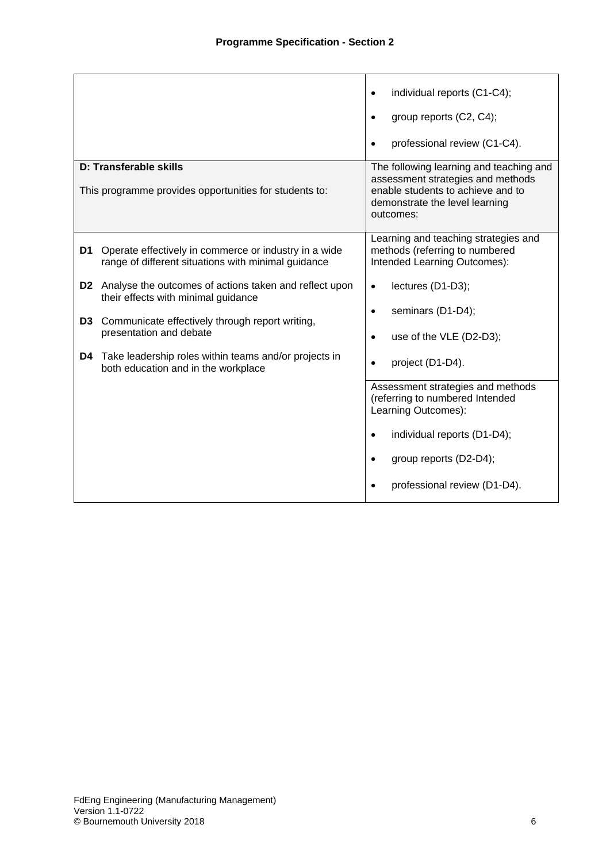|                | D: Transferable skills                                                                                       | individual reports (C1-C4);<br>group reports (C2, C4);<br>professional review (C1-C4).<br>The following learning and teaching and<br>assessment strategies and methods |
|----------------|--------------------------------------------------------------------------------------------------------------|------------------------------------------------------------------------------------------------------------------------------------------------------------------------|
|                | This programme provides opportunities for students to:                                                       | enable students to achieve and to<br>demonstrate the level learning<br>outcomes:                                                                                       |
| D1             | Operate effectively in commerce or industry in a wide<br>range of different situations with minimal guidance | Learning and teaching strategies and<br>methods (referring to numbered<br>Intended Learning Outcomes):                                                                 |
|                | <b>D2</b> Analyse the outcomes of actions taken and reflect upon<br>their effects with minimal guidance      | lectures (D1-D3);<br>$\bullet$<br>seminars (D1-D4);<br>$\bullet$                                                                                                       |
| D <sub>3</sub> | Communicate effectively through report writing,<br>presentation and debate                                   | use of the VLE (D2-D3);<br>$\bullet$                                                                                                                                   |
| D4             | Take leadership roles within teams and/or projects in<br>both education and in the workplace                 | project (D1-D4).                                                                                                                                                       |
|                |                                                                                                              | Assessment strategies and methods<br>(referring to numbered Intended<br>Learning Outcomes):                                                                            |
|                |                                                                                                              | individual reports (D1-D4);<br>$\bullet$<br>group reports (D2-D4);                                                                                                     |
|                |                                                                                                              | professional review (D1-D4).                                                                                                                                           |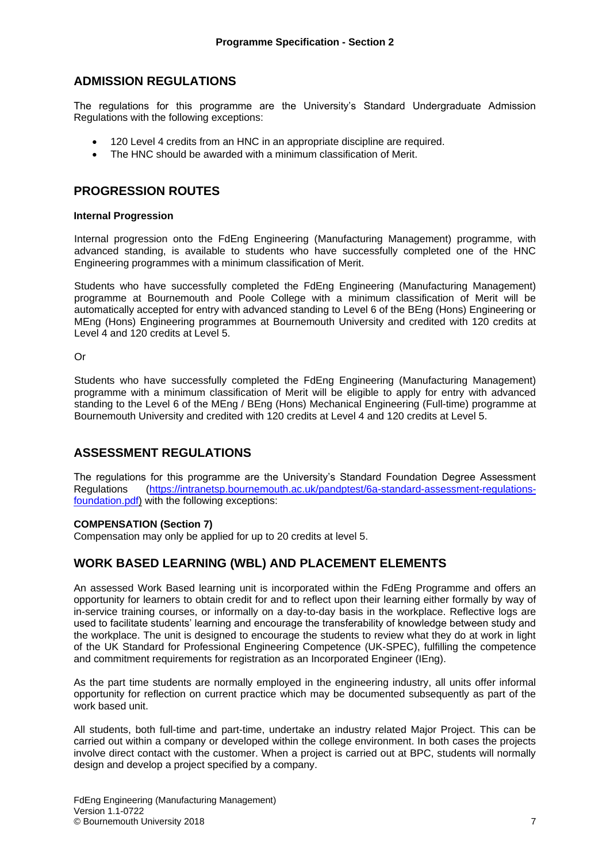## **ADMISSION REGULATIONS**

The regulations for this programme are the University's Standard Undergraduate Admission Regulations with the following exceptions:

- 120 Level 4 credits from an HNC in an appropriate discipline are required.
- The HNC should be awarded with a minimum classification of Merit.

## **PROGRESSION ROUTES**

#### **Internal Progression**

Internal progression onto the FdEng Engineering (Manufacturing Management) programme, with advanced standing, is available to students who have successfully completed one of the HNC Engineering programmes with a minimum classification of Merit.

Students who have successfully completed the FdEng Engineering (Manufacturing Management) programme at Bournemouth and Poole College with a minimum classification of Merit will be automatically accepted for entry with advanced standing to Level 6 of the BEng (Hons) Engineering or MEng (Hons) Engineering programmes at Bournemouth University and credited with 120 credits at Level 4 and 120 credits at Level 5.

Or

Students who have successfully completed the FdEng Engineering (Manufacturing Management) programme with a minimum classification of Merit will be eligible to apply for entry with advanced standing to the Level 6 of the MEng / BEng (Hons) Mechanical Engineering (Full-time) programme at Bournemouth University and credited with 120 credits at Level 4 and 120 credits at Level 5.

## **ASSESSMENT REGULATIONS**

The regulations for this programme are the University's Standard Foundation Degree Assessment Regulations [\(https://intranetsp.bournemouth.ac.uk/pandptest/6a-standard-assessment-regulations](https://intranetsp.bournemouth.ac.uk/pandptest/6a-standard-assessment-regulations-foundation.pdf)[foundation.pdf\)](https://intranetsp.bournemouth.ac.uk/pandptest/6a-standard-assessment-regulations-foundation.pdf) with the following exceptions:

#### **COMPENSATION (Section 7)**

Compensation may only be applied for up to 20 credits at level 5.

## **WORK BASED LEARNING (WBL) AND PLACEMENT ELEMENTS**

An assessed Work Based learning unit is incorporated within the FdEng Programme and offers an opportunity for learners to obtain credit for and to reflect upon their learning either formally by way of in-service training courses, or informally on a day-to-day basis in the workplace. Reflective logs are used to facilitate students' learning and encourage the transferability of knowledge between study and the workplace. The unit is designed to encourage the students to review what they do at work in light of the UK Standard for Professional Engineering Competence (UK-SPEC), fulfilling the competence and commitment requirements for registration as an Incorporated Engineer (IEng).

As the part time students are normally employed in the engineering industry, all units offer informal opportunity for reflection on current practice which may be documented subsequently as part of the work based unit.

All students, both full-time and part-time, undertake an industry related Major Project. This can be carried out within a company or developed within the college environment. In both cases the projects involve direct contact with the customer. When a project is carried out at BPC, students will normally design and develop a project specified by a company.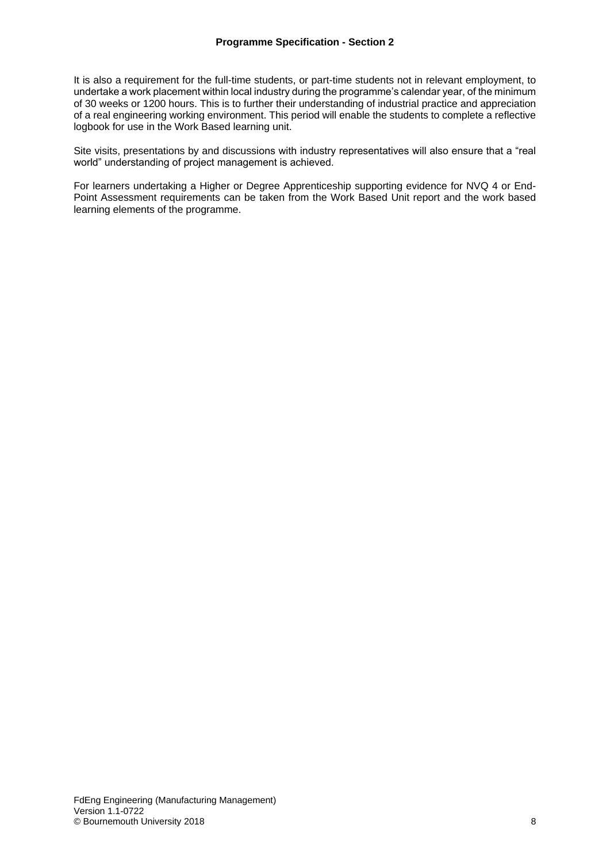It is also a requirement for the full-time students, or part-time students not in relevant employment, to undertake a work placement within local industry during the programme's calendar year, of the minimum of 30 weeks or 1200 hours. This is to further their understanding of industrial practice and appreciation of a real engineering working environment. This period will enable the students to complete a reflective logbook for use in the Work Based learning unit.

Site visits, presentations by and discussions with industry representatives will also ensure that a "real world" understanding of project management is achieved.

For learners undertaking a Higher or Degree Apprenticeship supporting evidence for NVQ 4 or End-Point Assessment requirements can be taken from the Work Based Unit report and the work based learning elements of the programme.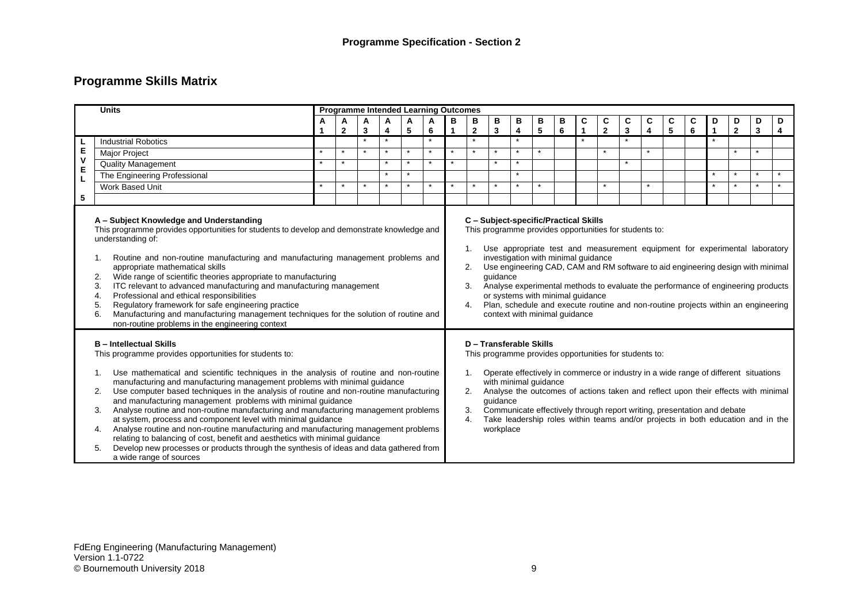# **Programme Skills Matrix**

|                                                                                                                                                                                                                                                                                                                                                                                                                                                                                                                                                                                                                                                                                                                                                                                                                                                                               | <b>Units</b>                 |   |              |         |         |         | <b>Programme Intended Learning Outcomes</b> |         |                                                |                                                                                                                                                                                                                         |         |         |   |             |                |              |         |   |                                                                                                                                                                                                                                                                                                                                        |              |                |         |         |
|-------------------------------------------------------------------------------------------------------------------------------------------------------------------------------------------------------------------------------------------------------------------------------------------------------------------------------------------------------------------------------------------------------------------------------------------------------------------------------------------------------------------------------------------------------------------------------------------------------------------------------------------------------------------------------------------------------------------------------------------------------------------------------------------------------------------------------------------------------------------------------|------------------------------|---|--------------|---------|---------|---------|---------------------------------------------|---------|------------------------------------------------|-------------------------------------------------------------------------------------------------------------------------------------------------------------------------------------------------------------------------|---------|---------|---|-------------|----------------|--------------|---------|---|----------------------------------------------------------------------------------------------------------------------------------------------------------------------------------------------------------------------------------------------------------------------------------------------------------------------------------------|--------------|----------------|---------|---------|
|                                                                                                                                                                                                                                                                                                                                                                                                                                                                                                                                                                                                                                                                                                                                                                                                                                                                               |                              | A | A            | A       | A       | A       | A                                           | в       | в<br>в<br>в<br>в<br>В<br>C<br>C<br>C<br>С<br>C |                                                                                                                                                                                                                         |         |         |   |             |                |              |         | С | D                                                                                                                                                                                                                                                                                                                                      | D            | D              | D       |         |
|                                                                                                                                                                                                                                                                                                                                                                                                                                                                                                                                                                                                                                                                                                                                                                                                                                                                               |                              |   | $\mathbf{2}$ | 3       | 4       | 5       | 6                                           |         | $\mathbf{2}$                                   | 3                                                                                                                                                                                                                       | 4       | 5       | 6 | $\mathbf 1$ | $\overline{2}$ | $\mathbf{3}$ | 4       | 5 | 6                                                                                                                                                                                                                                                                                                                                      | $\mathbf{1}$ | $\overline{2}$ | 3       | 4       |
|                                                                                                                                                                                                                                                                                                                                                                                                                                                                                                                                                                                                                                                                                                                                                                                                                                                                               | <b>Industrial Robotics</b>   |   |              |         | $\star$ |         | $\star$                                     |         | $\star$                                        |                                                                                                                                                                                                                         |         |         |   |             |                |              |         |   |                                                                                                                                                                                                                                                                                                                                        |              |                |         |         |
| E<br>$\mathbf v$                                                                                                                                                                                                                                                                                                                                                                                                                                                                                                                                                                                                                                                                                                                                                                                                                                                              | <b>Major Project</b>         |   |              | $\star$ | $\star$ |         | $\star$                                     |         |                                                |                                                                                                                                                                                                                         | $\star$ |         |   |             |                |              |         |   |                                                                                                                                                                                                                                                                                                                                        |              |                |         |         |
| E                                                                                                                                                                                                                                                                                                                                                                                                                                                                                                                                                                                                                                                                                                                                                                                                                                                                             | Quality Management           |   |              |         | $\star$ |         |                                             | $\star$ |                                                |                                                                                                                                                                                                                         | $\star$ |         |   |             |                |              |         |   |                                                                                                                                                                                                                                                                                                                                        |              |                |         |         |
|                                                                                                                                                                                                                                                                                                                                                                                                                                                                                                                                                                                                                                                                                                                                                                                                                                                                               | The Engineering Professional |   |              |         | $\star$ | $\star$ |                                             |         |                                                |                                                                                                                                                                                                                         | $\star$ |         |   |             |                |              |         |   |                                                                                                                                                                                                                                                                                                                                        | $\star$      | $\star$        | $\star$ |         |
|                                                                                                                                                                                                                                                                                                                                                                                                                                                                                                                                                                                                                                                                                                                                                                                                                                                                               | Work Based Unit              |   | $\star$      | $\star$ | $\star$ | $\star$ | $\star$                                     | $\star$ | $\star$                                        | $\star$                                                                                                                                                                                                                 | $\star$ | $\star$ |   |             |                |              | $\star$ |   |                                                                                                                                                                                                                                                                                                                                        | $\star$      | $\star$        | $\star$ | $\star$ |
| 5                                                                                                                                                                                                                                                                                                                                                                                                                                                                                                                                                                                                                                                                                                                                                                                                                                                                             |                              |   |              |         |         |         |                                             |         |                                                |                                                                                                                                                                                                                         |         |         |   |             |                |              |         |   |                                                                                                                                                                                                                                                                                                                                        |              |                |         |         |
| A - Subject Knowledge and Understanding<br>This programme provides opportunities for students to develop and demonstrate knowledge and<br>understanding of:<br>Routine and non-routine manufacturing and manufacturing management problems and<br>1.<br>appropriate mathematical skills<br>Wide range of scientific theories appropriate to manufacturing<br>2.<br>ITC relevant to advanced manufacturing and manufacturing management<br>3.<br>Professional and ethical responsibilities<br>4.<br>Regulatory framework for safe engineering practice<br>5.<br>Manufacturing and manufacturing management techniques for the solution of routine and<br>6.<br>non-routine problems in the engineering context                                                                                                                                                                 |                              |   |              |         |         |         |                                             |         | 1.<br>2.<br>3.<br>4.                           | C - Subject-specific/Practical Skills<br>This programme provides opportunities for students to:<br>investigation with minimal guidance<br>guidance<br>or systems with minimal guidance<br>context with minimal guidance |         |         |   |             |                |              |         |   | Use appropriate test and measurement equipment for experimental laboratory<br>Use engineering CAD, CAM and RM software to aid engineering design with minimal<br>Analyse experimental methods to evaluate the performance of engineering products<br>Plan, schedule and execute routine and non-routine projects within an engineering |              |                |         |         |
| <b>B</b> - Intellectual Skills<br>This programme provides opportunities for students to:<br>Use mathematical and scientific techniques in the analysis of routine and non-routine<br>1.<br>manufacturing and manufacturing management problems with minimal guidance<br>Use computer based techniques in the analysis of routine and non-routine manufacturing<br>2.<br>and manufacturing management problems with minimal guidance<br>Analyse routine and non-routine manufacturing and manufacturing management problems<br>3.<br>at system, process and component level with minimal guidance<br>Analyse routine and non-routine manufacturing and manufacturing management problems<br>4.<br>relating to balancing of cost, benefit and aesthetics with minimal guidance<br>Develop new processes or products through the synthesis of ideas and data gathered from<br>5. |                              |   |              |         |         |         |                                             |         |                                                | D - Transferable Skills<br>This programme provides opportunities for students to:<br>with minimal guidance<br>quidance<br>workplace                                                                                     |         |         |   |             |                |              |         |   | Operate effectively in commerce or industry in a wide range of different situations<br>Analyse the outcomes of actions taken and reflect upon their effects with minimal<br>Communicate effectively through report writing, presentation and debate<br>Take leadership roles within teams and/or projects in both education and in the |              |                |         |         |